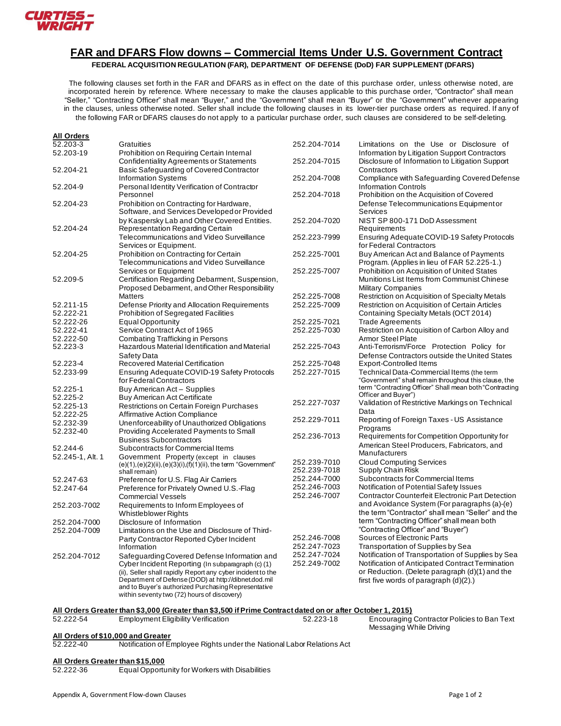

## **FAR and DFARS Flow downs – Commercial Items Under U.S. Government Contract**

**FEDERAL ACQUISITION REGULATION (FAR), DEPARTMENT OF DEFENSE (DoD) FAR SUPPLEMENT (DFARS)**

The following clauses set forth in the FAR and DFARS as in effect on the date of this purchase order, unless otherwise noted, are incorporated herein by reference. Where necessary to make the clauses applicable to this purchase order, "Contractor" shall mean "Seller," "Contracting Officer" shall mean "Buyer," and the "Government" shall mean "Buyer" or the "Government" whenever appearing in the clauses, unless otherwise noted. Seller shall include the following clauses in its lower-tier purchase orders as required. If any of the following FAR or DFARS clauses do not apply to a particular purchase order, such clauses are considered to be self-deleting.

| <b>All Orders</b><br>52.203-3 | Gratuities                                                                                                                                                                                                                                                                     | 252.204-7014                 | Limitations on the Use or Disclosure of                                                                                                      |
|-------------------------------|--------------------------------------------------------------------------------------------------------------------------------------------------------------------------------------------------------------------------------------------------------------------------------|------------------------------|----------------------------------------------------------------------------------------------------------------------------------------------|
| 52.203-19                     | Prohibition on Requiring Certain Internal                                                                                                                                                                                                                                      |                              | Information by Litigation Support Contractors                                                                                                |
| 52.204-21                     | <b>Confidentiality Agreements or Statements</b><br>Basic Safeguarding of Covered Contractor                                                                                                                                                                                    | 252.204-7015                 | Disclosure of Information to Litigation Support<br>Contractors                                                                               |
|                               | <b>Information Systems</b>                                                                                                                                                                                                                                                     | 252.204-7008                 | Compliance with Safeguarding Covered Defense                                                                                                 |
| 52.204-9                      | Personal Identity Verification of Contractor                                                                                                                                                                                                                                   |                              | <b>Information Controls</b>                                                                                                                  |
|                               | Personnel                                                                                                                                                                                                                                                                      | 252.204-7018                 | Prohibition on the Acquisition of Covered                                                                                                    |
| 52.204-23                     | Prohibition on Contracting for Hardware,<br>Software, and Services Developed or Provided                                                                                                                                                                                       |                              | Defense Telecommunications Equipmentor<br>Services                                                                                           |
|                               | by Kaspersky Lab and Other Covered Entities.                                                                                                                                                                                                                                   | 252.204-7020                 | NIST SP 800-171 DoD Assessment                                                                                                               |
| 52.204-24                     | Representation Regarding Certain                                                                                                                                                                                                                                               |                              | Requirements                                                                                                                                 |
|                               | Telecommunications and Video Surveillance<br>Services or Equipment.                                                                                                                                                                                                            | 252.223-7999                 | Ensuring Adequate COVID-19 Safety Protocols<br>for Federal Contractors                                                                       |
| 52.204-25                     | Prohibition on Contracting for Certain<br>Telecommunications and Video Surveillance                                                                                                                                                                                            | 252.225-7001                 | Buy American Act and Balance of Payments<br>Program. (Applies in lieu of FAR 52.225-1.)                                                      |
|                               | <b>Services or Equipment</b>                                                                                                                                                                                                                                                   | 252.225-7007                 | Prohibition on Acquisition of United States                                                                                                  |
| 52.209-5                      | Certification Regarding Debarment, Suspension,                                                                                                                                                                                                                                 |                              | Munitions List Items from Communist Chinese                                                                                                  |
|                               | Proposed Debarment, and Other Responsibility                                                                                                                                                                                                                                   |                              | <b>Military Companies</b>                                                                                                                    |
|                               | <b>Matters</b>                                                                                                                                                                                                                                                                 | 252.225-7008                 | Restriction on Acquisition of Specialty Metals                                                                                               |
| 52.211-15<br>52.222-21        | Defense Priority and Allocation Requirements<br><b>Prohibition of Segregated Facilities</b>                                                                                                                                                                                    | 252.225-7009                 | Restriction on Acquisition of Certain Articles<br>Containing Specialty Metals (OCT 2014)                                                     |
| 52.222-26                     | <b>Equal Opportunity</b>                                                                                                                                                                                                                                                       | 252.225-7021                 | <b>Trade Agreements</b>                                                                                                                      |
| 52.222-41                     | Service Contract Act of 1965                                                                                                                                                                                                                                                   | 252.225-7030                 | Restriction on Acquisition of Carbon Alloy and                                                                                               |
| 52.222-50                     | <b>Combating Trafficking in Persons</b>                                                                                                                                                                                                                                        |                              | <b>Armor Steel Plate</b>                                                                                                                     |
| 52.223-3                      | Hazardous Material Identification and Material                                                                                                                                                                                                                                 | 252.225-7043                 | Anti-Terrorism/Force Protection Policy for                                                                                                   |
|                               | Safety Data                                                                                                                                                                                                                                                                    |                              | Defense Contractors outside the United States                                                                                                |
| 52.223-4                      | Recovered Material Certification                                                                                                                                                                                                                                               | 252.225-7048                 | <b>Export-Controlled Items</b>                                                                                                               |
| 52.233-99                     | Ensuring Adequate COVID-19 Safety Protocols                                                                                                                                                                                                                                    | 252.227-7015                 | Technical Data-Commercial Items (the term                                                                                                    |
|                               | for Federal Contractors                                                                                                                                                                                                                                                        |                              | "Government" shall remain throughout this clause, the                                                                                        |
| 52.225-1                      | Buy American Act - Supplies                                                                                                                                                                                                                                                    |                              | term "Contracting Officer" Shall mean both "Contracting                                                                                      |
| 52.225-2                      | <b>Buy American Act Certificate</b>                                                                                                                                                                                                                                            | 252.227-7037                 | Officer and Buyer")                                                                                                                          |
| 52.225-13                     | <b>Restrictions on Certain Foreign Purchases</b>                                                                                                                                                                                                                               |                              | Validation of Restrictive Markings on Technical<br>Data                                                                                      |
| 52.222-25                     | <b>Affirmative Action Compliance</b>                                                                                                                                                                                                                                           | 252.229-7011                 | Reporting of Foreign Taxes - US Assistance                                                                                                   |
| 52.232-39                     | Unenforceability of Unauthorized Obligations                                                                                                                                                                                                                                   |                              | Programs                                                                                                                                     |
| 52.232-40                     | Providing Accelerated Payments to Small                                                                                                                                                                                                                                        | 252.236-7013                 | Requirements for Competition Opportunity for                                                                                                 |
| 52.244-6                      | <b>Business Subcontractors</b><br>Subcontracts for Commercial Items                                                                                                                                                                                                            |                              | American Steel Producers, Fabricators, and                                                                                                   |
| 52.245-1, Alt. 1              | Government Property (except in clauses                                                                                                                                                                                                                                         |                              | Manufacturers                                                                                                                                |
|                               | (e)(1),(e)(2)(ii),(e)(3)(i),(f)(1)(ii), the term "Government"<br>shall remain)                                                                                                                                                                                                 | 252.239-7010<br>252.239-7018 | <b>Cloud Computing Services</b><br>Supply Chain Risk                                                                                         |
| 52.247-63                     | Preference for U.S. Flag Air Carriers                                                                                                                                                                                                                                          | 252.244-7000                 | Subcontracts for Commercial Items                                                                                                            |
| 52.247-64                     | Preference for Privately Owned U.S.-Flag<br><b>Commercial Vessels</b>                                                                                                                                                                                                          | 252.246-7003<br>252.246-7007 | Notification of Potential Safety Issues<br><b>Contractor Counterfeit Electronic Part Detection</b>                                           |
| 252.203-7002                  | Requirements to Inform Employees of<br><b>Whistleblower Rights</b>                                                                                                                                                                                                             |                              | and Avoidance System (For paragraphs (a)-(e)<br>the term "Contractor" shall mean "Seller" and the                                            |
| 252.204-7000                  | Disclosure of Information                                                                                                                                                                                                                                                      |                              | term "Contracting Officer" shall mean both                                                                                                   |
| 252.204-7009                  | Limitations on the Use and Disclosure of Third-                                                                                                                                                                                                                                |                              | "Contracting Officer" and "Buyer")                                                                                                           |
|                               | Party Contractor Reported Cyber Incident                                                                                                                                                                                                                                       | 252.246-7008                 | Sources of Electronic Parts                                                                                                                  |
|                               | Information                                                                                                                                                                                                                                                                    | 252.247-7023                 | Transportation of Supplies by Sea                                                                                                            |
| 252.204-7012                  | Safeguarding Covered Defense Information and                                                                                                                                                                                                                                   | 252.247-7024                 | Notification of Transportation of Supplies by Sea                                                                                            |
|                               | Cyber Incident Reporting (In subparagraph (c) (1)<br>(ii), Seller shall rapidly Report any cyber incident to the<br>Department of Defense (DOD) at http://dibnet.dod.mil<br>and to Buyer's authorized Purchasing Representative<br>within seventy two (72) hours of discovery) | 252.249-7002                 | Notification of Anticipated Contract Termination<br>or Reduction. (Delete paragraph (d)(1) and the<br>first five words of paragraph (d)(2).) |

#### **All Orders Greater than \$3,000 (Greater than \$3,500 if Prime Contract dated on or after October 1, 2015)**

| 52.222-54 | <b>Employment Eligibility Verification</b> | 52.223-18 | Encourag<br>Messaging |
|-----------|--------------------------------------------|-----------|-----------------------|
|           |                                            |           |                       |

 $\overline{\mathsf{ling}}$  Contractor Policies to Ban Text ging While Driving

# **All Orders of \$10,000 and Greater**

Notification of Employee Rights under the National Labor Relations Act

#### **All Orders Greater than \$15,000**

52.222-36 Equal Opportunity for Workers with Disabilities